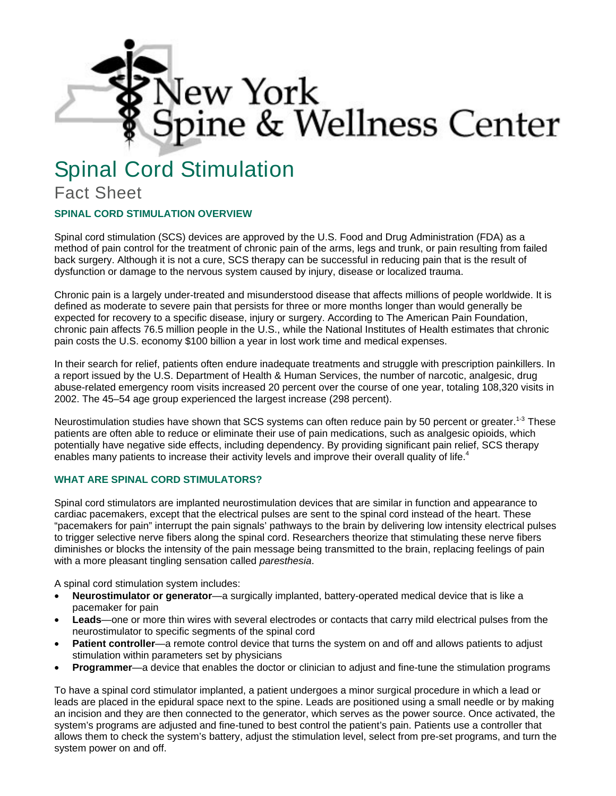

# Spinal Cord Stimulation

## Fact Sheet

### **SPINAL CORD STIMULATION OVERVIEW**

Spinal cord stimulation (SCS) devices are approved by the U.S. Food and Drug Administration (FDA) as a method of pain control for the treatment of chronic pain of the arms, legs and trunk, or pain resulting from failed back surgery. Although it is not a cure, SCS therapy can be successful in reducing pain that is the result of dysfunction or damage to the nervous system caused by injury, disease or localized trauma.

Chronic pain is a largely under-treated and misunderstood disease that affects millions of people worldwide. It is defined as moderate to severe pain that persists for three or more months longer than would generally be expected for recovery to a specific disease, injury or surgery. According to The American Pain Foundation, chronic pain affects 76.5 million people in the U.S., while the National Institutes of Health estimates that chronic pain costs the U.S. economy \$100 billion a year in lost work time and medical expenses.

In their search for relief, patients often endure inadequate treatments and struggle with prescription painkillers. In a report issued by the U.S. Department of Health & Human Services, the number of narcotic, analgesic, drug abuse-related emergency room visits increased 20 percent over the course of one year, totaling 108,320 visits in 2002. The 45–54 age group experienced the largest increase (298 percent).

Neurostimulation studies have shown that SCS systems can often reduce pain by 50 percent or greater.<sup>1-3</sup> These patients are often able to reduce or eliminate their use of pain medications, such as analgesic opioids, which potentially have negative side effects, including dependency. By providing significant pain relief, SCS therapy enables many patients to increase their activity levels and improve their overall quality of life.<sup>4</sup>

#### **WHAT ARE SPINAL CORD STIMULATORS?**

Spinal cord stimulators are implanted neurostimulation devices that are similar in function and appearance to cardiac pacemakers, except that the electrical pulses are sent to the spinal cord instead of the heart. These "pacemakers for pain" interrupt the pain signals' pathways to the brain by delivering low intensity electrical pulses to trigger selective nerve fibers along the spinal cord. Researchers theorize that stimulating these nerve fibers diminishes or blocks the intensity of the pain message being transmitted to the brain, replacing feelings of pain with a more pleasant tingling sensation called *paresthesia*.

A spinal cord stimulation system includes:

- **Neurostimulator or generator**—a surgically implanted, battery-operated medical device that is like a pacemaker for pain
- **Leads**—one or more thin wires with several electrodes or contacts that carry mild electrical pulses from the neurostimulator to specific segments of the spinal cord
- **Patient controller**—a remote control device that turns the system on and off and allows patients to adjust stimulation within parameters set by physicians
- **Programmer**—a device that enables the doctor or clinician to adjust and fine-tune the stimulation programs

To have a spinal cord stimulator implanted, a patient undergoes a minor surgical procedure in which a lead or leads are placed in the epidural space next to the spine. Leads are positioned using a small needle or by making an incision and they are then connected to the generator, which serves as the power source. Once activated, the system's programs are adjusted and fine-tuned to best control the patient's pain. Patients use a controller that allows them to check the system's battery, adjust the stimulation level, select from pre-set programs, and turn the system power on and off.